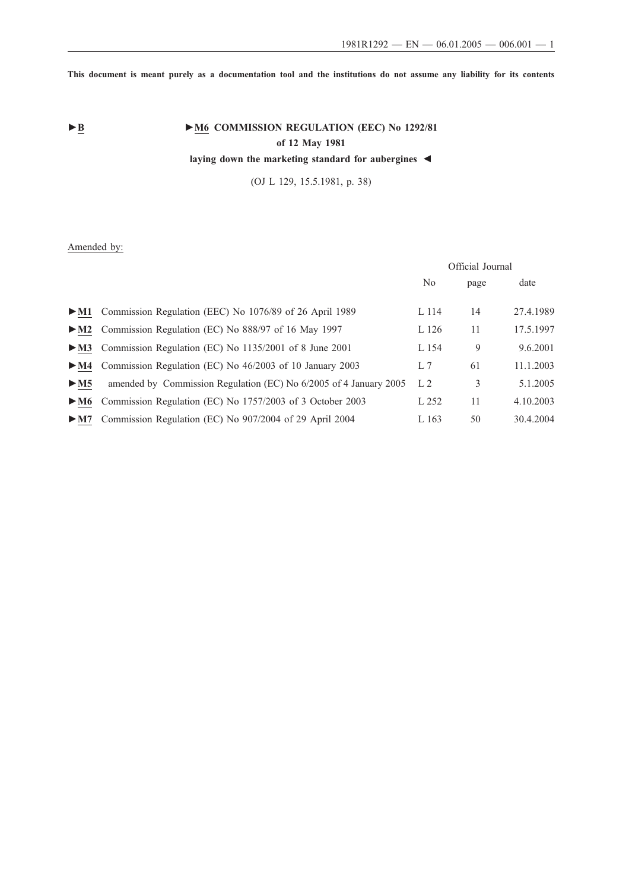**This document is meant purely as a documentation tool and the institutions do not assume any liability for its contents**

# ► <u>**B M6** COMMISSION REGULATION (EEC) No 1292/81</u> **of 12 May 1981**

**laying down the marketing standard for aubergines ◄**

(OJ L 129, 15.5.1981, p. 38)

# Amended by:

|                                                                   | Official Journal |      |           |
|-------------------------------------------------------------------|------------------|------|-----------|
|                                                                   | N <sub>0</sub>   | page | date      |
| Commission Regulation (EEC) No 1076/89 of 26 April 1989           | L 114            | 14   | 27.4.1989 |
| Commission Regulation (EC) No 888/97 of 16 May 1997               | L 126            | 11   | 17.5.1997 |
| Commission Regulation (EC) No 1135/2001 of 8 June 2001            | L 154            | 9    | 9.6.2001  |
| Commission Regulation (EC) No 46/2003 of 10 January 2003          | L <sub>7</sub>   | 61   | 11.1.2003 |
| amended by Commission Regulation (EC) No 6/2005 of 4 January 2005 | L <sub>2</sub>   | 3    | 5.1.2005  |
| Commission Regulation (EC) No 1757/2003 of 3 October 2003         | L 252            | 11   | 4.10.2003 |
| Commission Regulation (EC) No 907/2004 of 29 April 2004           | L 163            | 50   | 30.4.2004 |
|                                                                   |                  |      |           |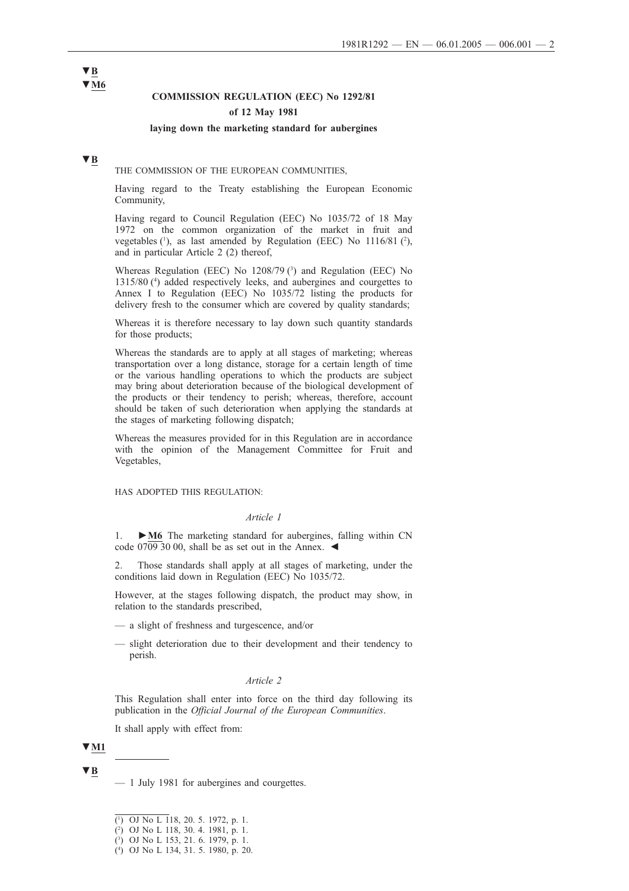# **COMMISSION REGULATION (EEC) No 1292/81**

# **of 12 May 1981**

#### **laying down the marketing standard for aubergines**

# **▼B**

THE COMMISSION OF THE EUROPEAN COMMUNITIES,

Having regard to the Treaty establishing the European Economic Community,

Having regard to Council Regulation (EEC) No 1035/72 of 18 May 1972 on the common organization of the market in fruit and vegetables  $(1)$ , as last amended by Regulation (EEC) No  $1116/81$   $(2)$ , and in particular Article 2 (2) thereof,

Whereas Regulation (EEC) No 1208/79 (3) and Regulation (EEC) No 1315/80 (4 ) added respectively leeks, and aubergines and courgettes to Annex I to Regulation (EEC) No 1035/72 listing the products for delivery fresh to the consumer which are covered by quality standards;

Whereas it is therefore necessary to lay down such quantity standards for those products;

Whereas the standards are to apply at all stages of marketing; whereas transportation over a long distance, storage for a certain length of time or the various handling operations to which the products are subject may bring about deterioration because of the biological development of the products or their tendency to perish; whereas, therefore, account should be taken of such deterioration when applying the standards at the stages of marketing following dispatch;

Whereas the measures provided for in this Regulation are in accordance with the opinion of the Management Committee for Fruit and Vegetables,

HAS ADOPTED THIS REGULATION:

#### *Article 1*

1. **►M6** The marketing standard for aubergines, falling within CN code  $07093000$ , shall be as set out in the Annex.  $\blacktriangleleft$ 

2. Those standards shall apply at all stages of marketing, under the conditions laid down in Regulation (EEC) No 1035/72.

However, at the stages following dispatch, the product may show, in relation to the standards prescribed,

- a slight of freshness and turgescence, and/or
- slight deterioration due to their development and their tendency to perish.

#### *Article 2*

This Regulation shall enter into force on the third day following its publication in the *Official Journal of the European Communities*.

It shall apply with effect from:

# **▼M1**

**▼B**

# **▼B ▼M6**

<sup>—</sup> 1 July 1981 for aubergines and courgettes.

<sup>(</sup> 1 ) OJ No L 118, 20. 5. 1972, p. 1.

<sup>(</sup> 2 ) OJ No L 118, 30. 4. 1981, p. 1.

<sup>(</sup> 3 ) OJ No L 153, 21. 6. 1979, p. 1.

<sup>(</sup> 4 ) OJ No L 134, 31. 5. 1980, p. 20.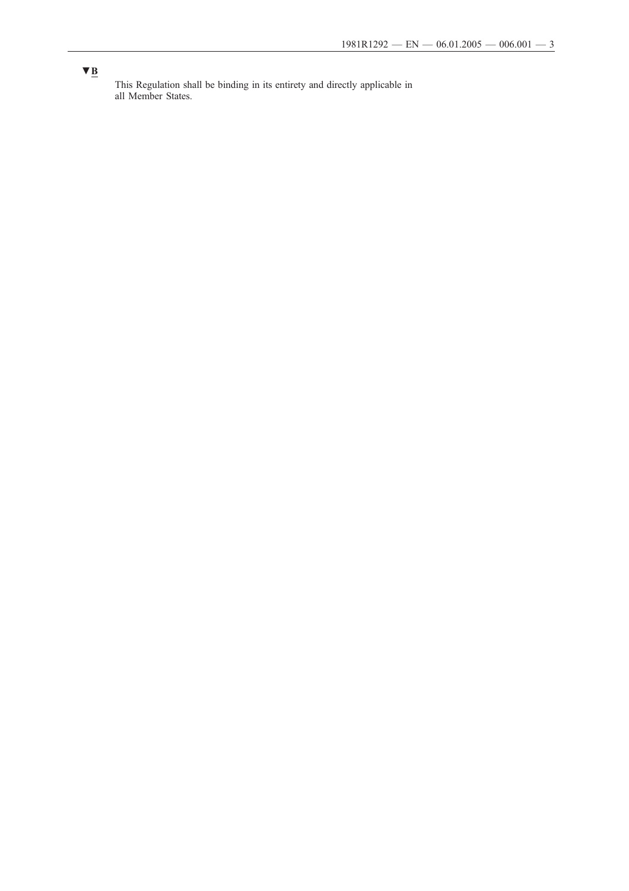# **▼B**

This Regulation shall be binding in its entirety and directly applicable in all Member States.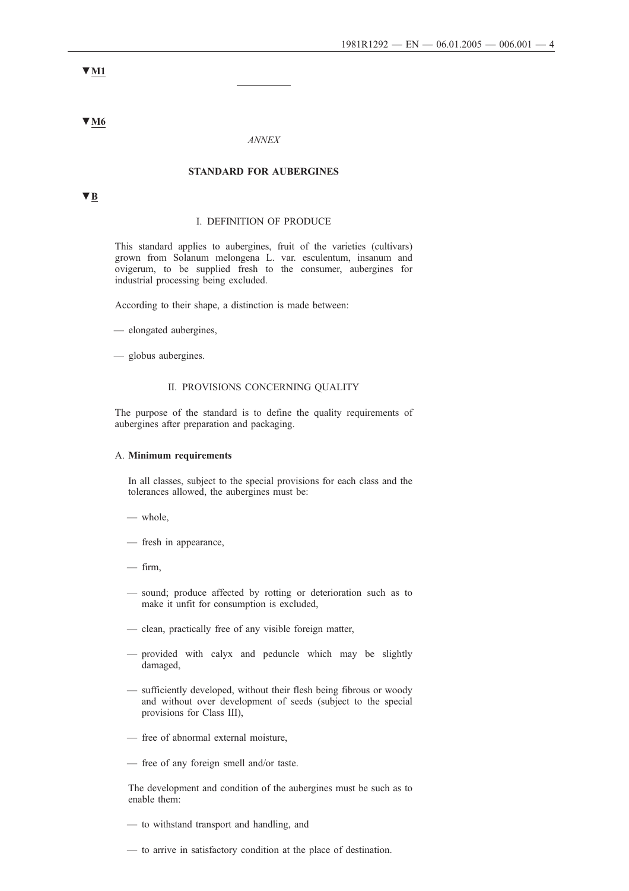**▼M1**

**▼M6**

#### *ANNEX*

## **STANDARD FOR AUBERGINES**

**▼B**

# I. DEFINITION OF PRODUCE

This standard applies to aubergines, fruit of the varieties (cultivars) grown from Solanum melongena L. var. esculentum, insanum and ovigerum, to be supplied fresh to the consumer, aubergines for industrial processing being excluded.

According to their shape, a distinction is made between:

- elongated aubergines,
- globus aubergines.

#### II. PROVISIONS CONCERNING QUALITY

The purpose of the standard is to define the quality requirements of aubergines after preparation and packaging.

#### A. **Minimum requirements**

In all classes, subject to the special provisions for each class and the tolerances allowed, the aubergines must be:

- whole,
- fresh in appearance,
- $-$  firm,
- sound; produce affected by rotting or deterioration such as to make it unfit for consumption is excluded,
- clean, practically free of any visible foreign matter,
- provided with calyx and peduncle which may be slightly damaged,
- sufficiently developed, without their flesh being fibrous or woody and without over development of seeds (subject to the special provisions for Class III),
- free of abnormal external moisture,
- free of any foreign smell and/or taste.

The development and condition of the aubergines must be such as to enable them:

- to withstand transport and handling, and
- to arrive in satisfactory condition at the place of destination.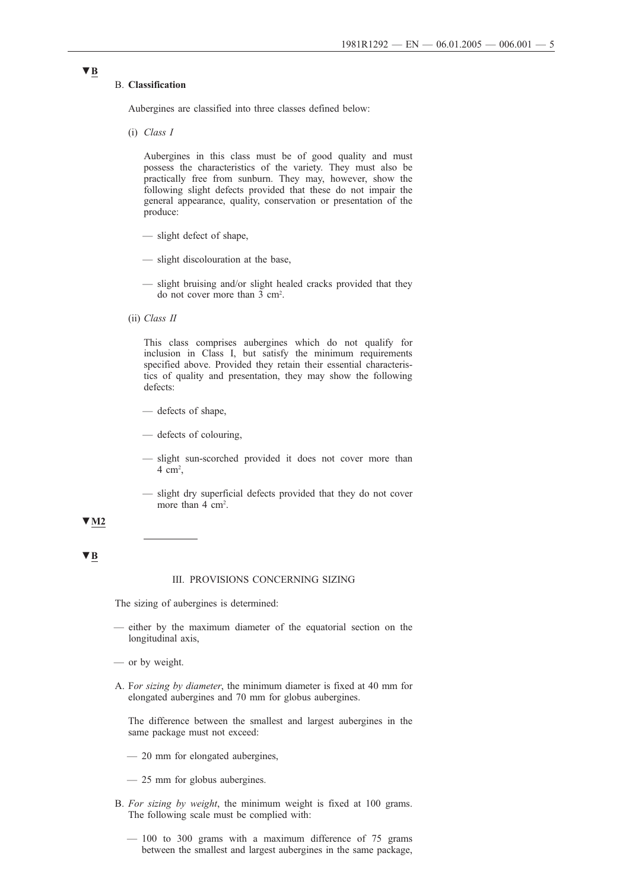### B. **Classification**

**▼B**

Aubergines are classified into three classes defined below:

(i) *Class I*

Aubergines in this class must be of good quality and must possess the characteristics of the variety. They must also be practically free from sunburn. They may, however, show the following slight defects provided that these do not impair the general appearance, quality, conservation or presentation of the produce:

- slight defect of shape,
- slight discolouration at the base,
- slight bruising and/or slight healed cracks provided that they do not cover more than 3 cm2 .
- (ii) *Class II*

This class comprises aubergines which do not qualify for inclusion in Class I, but satisfy the minimum requirements specified above. Provided they retain their essential characteristics of quality and presentation, they may show the following defects:

- defects of shape,
- defects of colouring,
- slight sun-scorched provided it does not cover more than  $4 \text{ cm}^2$ ,
- slight dry superficial defects provided that they do not cover more than 4 cm<sup>2</sup>.

#### **▼M2**

#### **▼B**

#### III. PROVISIONS CONCERNING SIZING

The sizing of aubergines is determined:

- either by the maximum diameter of the equatorial section on the longitudinal axis,
- or by weight.
- A. F*or sizing by diameter*, the minimum diameter is fixed at 40 mm for elongated aubergines and 70 mm for globus aubergines.

The difference between the smallest and largest aubergines in the same package must not exceed:

- 20 mm for elongated aubergines,
- 25 mm for globus aubergines.
- B. *For sizing by weight*, the minimum weight is fixed at 100 grams. The following scale must be complied with:
	- 100 to 300 grams with a maximum difference of 75 grams between the smallest and largest aubergines in the same package,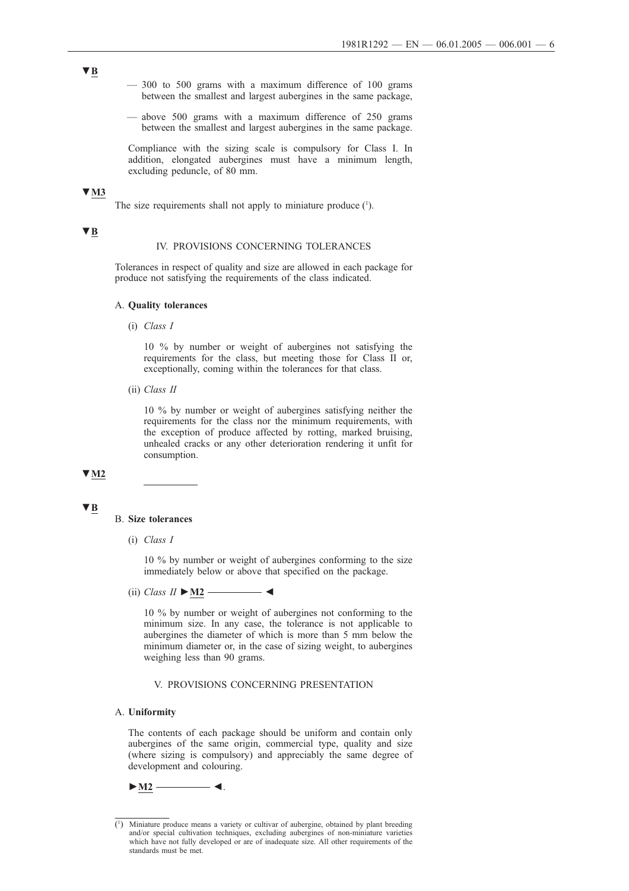- **▼B**
- 300 to 500 grams with a maximum difference of 100 grams between the smallest and largest aubergines in the same package,
- above 500 grams with a maximum difference of 250 grams between the smallest and largest aubergines in the same package.

Compliance with the sizing scale is compulsory for Class I. In addition, elongated aubergines must have a minimum length, excluding peduncle, of 80 mm.

# **▼M3**

The size requirements shall not apply to miniature produce  $(1)$ .

### **▼B**

#### IV. PROVISIONS CONCERNING TOLERANCES

Tolerances in respect of quality and size are allowed in each package for produce not satisfying the requirements of the class indicated.

#### A. **Quality tolerances**

(i) *Class I*

10 % by number or weight of aubergines not satisfying the requirements for the class, but meeting those for Class II or, exceptionally, coming within the tolerances for that class.

(ii) *Class II*

10 % by number or weight of aubergines satisfying neither the requirements for the class nor the minimum requirements, with the exception of produce affected by rotting, marked bruising, unhealed cracks or any other deterioration rendering it unfit for consumption.

# **▼M2**

#### **▼B**

#### B. **Size tolerances**

(i) *Class I*

10 % by number or weight of aubergines conforming to the size immediately below or above that specified on the package.

 $(iii) Class II \triangleright M2 \longleftarrow$ 

10 % by number or weight of aubergines not conforming to the minimum size. In any case, the tolerance is not applicable to aubergines the diameter of which is more than 5 mm below the minimum diameter or, in the case of sizing weight, to aubergines weighing less than 90 grams.

#### V. PROVISIONS CONCERNING PRESENTATION

#### A. **Uniformity**

The contents of each package should be uniform and contain only aubergines of the same origin, commercial type, quality and size (where sizing is compulsory) and appreciably the same degree of development and colouring.

**►M2 ◄**.

<sup>(</sup> 1 ) Miniature produce means a variety or cultivar of aubergine, obtained by plant breeding and/or special cultivation techniques, excluding aubergines of non-miniature varieties which have not fully developed or are of inadequate size. All other requirements of the standards must be met.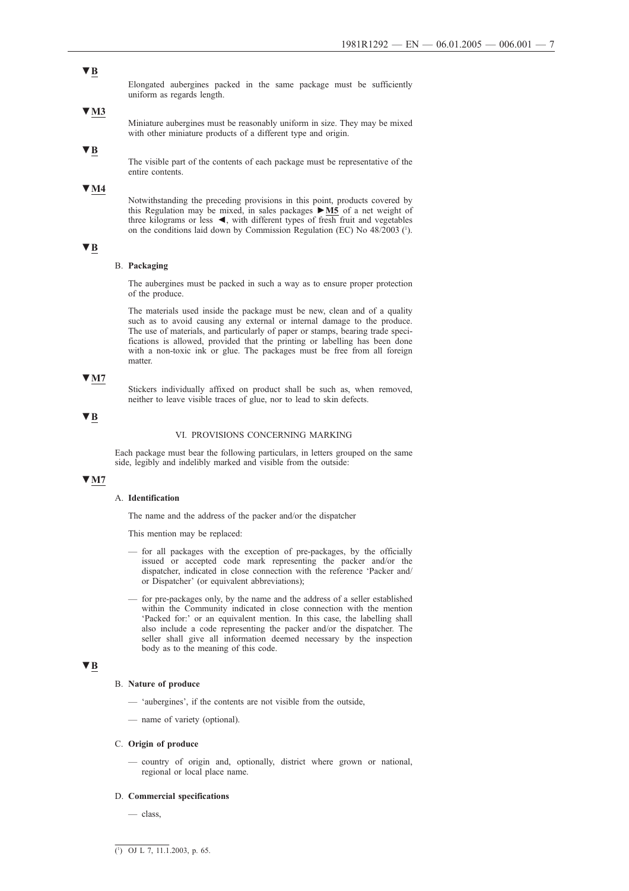#### **▼B**

Elongated aubergines packed in the same package must be sufficiently uniform as regards length.

#### **▼M3**

Miniature aubergines must be reasonably uniform in size. They may be mixed with other miniature products of a different type and origin.

### **▼B**

The visible part of the contents of each package must be representative of the entire contents.

#### **▼M4**

Notwithstanding the preceding provisions in this point, products covered by this Regulation may be mixed, in sales packages **►M5** of a net weight of three kilograms or less **◄**, with different types of fresh fruit and vegetables on the conditions laid down by Commission Regulation (EC) No 48/2003 (1 ).

# **▼B**

#### B. **Packaging**

The aubergines must be packed in such a way as to ensure proper protection of the produce.

The materials used inside the package must be new, clean and of a quality such as to avoid causing any external or internal damage to the produce. The use of materials, and particularly of paper or stamps, bearing trade specifications is allowed, provided that the printing or labelling has been done with a non-toxic ink or glue. The packages must be free from all foreign matter.

# **▼M7**

Stickers individually affixed on product shall be such as, when removed, neither to leave visible traces of glue, nor to lead to skin defects.

# **▼B**

#### VI. PROVISIONS CONCERNING MARKING

Each package must bear the following particulars, in letters grouped on the same side, legibly and indelibly marked and visible from the outside:

# **▼M7**

#### A. **Identification**

The name and the address of the packer and/or the dispatcher

This mention may be replaced:

- for all packages with the exception of pre-packages, by the officially issued or accepted code mark representing the packer and/or the dispatcher, indicated in close connection with the reference 'Packer and/ or Dispatcher' (or equivalent abbreviations);
- for pre-packages only, by the name and the address of a seller established within the Community indicated in close connection with the mention 'Packed for:' or an equivalent mention. In this case, the labelling shall also include a code representing the packer and/or the dispatcher. The seller shall give all information deemed necessary by the inspection body as to the meaning of this code.

# **▼B**

#### B. **Nature of produce**

- 'aubergines', if the contents are not visible from the outside,
- name of variety (optional).

#### C. **Origin of produce**

— country of origin and, optionally, district where grown or national, regional or local place name.

#### D. **Commercial specifications**

— class,